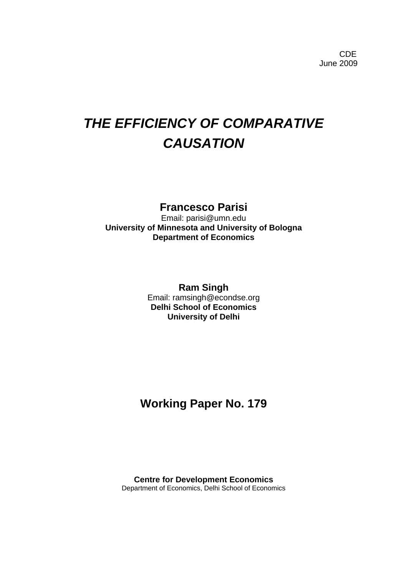# *THE EFFICIENCY OF COMPARATIVE CAUSATION*

# **Francesco Parisi**

Email: parisi@umn.edu **University of Minnesota and University of Bologna Department of Economics** 

> **Ram Singh**  Email: ramsingh@econdse.org **Delhi School of Economics University of Delhi**

# **Working Paper No. 179**

**Centre for Development Economics**  Department of Economics, Delhi School of Economics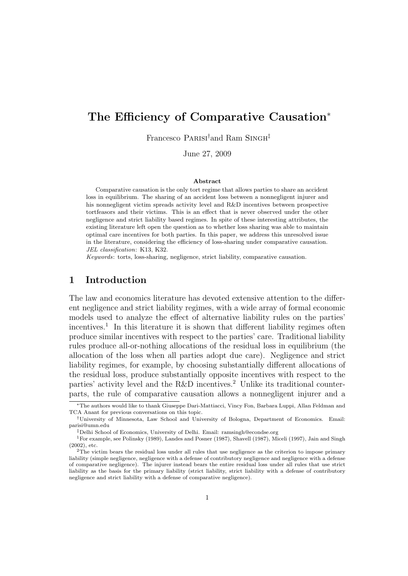# The Efficiency of Comparative Causation<sup>∗</sup>

Francesco PARISI<sup>†</sup>and Ram SINGH<sup>‡</sup>

June 27, 2009

#### Abstract

Comparative causation is the only tort regime that allows parties to share an accident loss in equilibrium. The sharing of an accident loss between a nonnegligent injurer and his nonnegligent victim spreads activity level and R&D incentives between prospective tortfeasors and their victims. This is an effect that is never observed under the other negligence and strict liability based regimes. In spite of these interesting attributes, the existing literature left open the question as to whether loss sharing was able to maintain optimal care incentives for both parties. In this paper, we address this unresolved issue in the literature, considering the efficiency of loss-sharing under comparative causation. JEL classification: K13, K32.

Keywords: torts, loss-sharing, negligence, strict liability, comparative causation.

## 1 Introduction

The law and economics literature has devoted extensive attention to the different negligence and strict liability regimes, with a wide array of formal economic models used to analyze the effect of alternative liability rules on the parties' incentives.<sup>1</sup> In this literature it is shown that different liability regimes often produce similar incentives with respect to the parties' care. Traditional liability rules produce all-or-nothing allocations of the residual loss in equilibrium (the allocation of the loss when all parties adopt due care). Negligence and strict liability regimes, for example, by choosing substantially different allocations of the residual loss, produce substantially opposite incentives with respect to the parties' activity level and the R&D incentives.<sup>2</sup> Unlike its traditional counterparts, the rule of comparative causation allows a nonnegligent injurer and a

<sup>∗</sup>The authors would like to thank Giuseppe Dari-Mattiacci, Vincy Fon, Barbara Luppi, Allan Feldman and TCA Anant for previous conversations on this topic.

<sup>†</sup>University of Minnesota, Law School and University of Bologna, Department of Economics. Email: parisi@umn.edu

<sup>‡</sup>Delhi School of Economics, University of Delhi. Email: ramsingh@econdse.org

<sup>1</sup>For example, see Polinsky (1989), Landes and Posner (1987), Shavell (1987), Miceli (1997), Jain and Singh (2002), etc.

<sup>&</sup>lt;sup>2</sup>The victim bears the residual loss under all rules that use negligence as the criterion to impose primary liability (simple negligence, negligence with a defense of contributory negligence and negligence with a defense of comparative negligence). The injurer instead bears the entire residual loss under all rules that use strict liability as the basis for the primary liability (strict liability, strict liability with a defense of contributory negligence and strict liability with a defense of comparative negligence).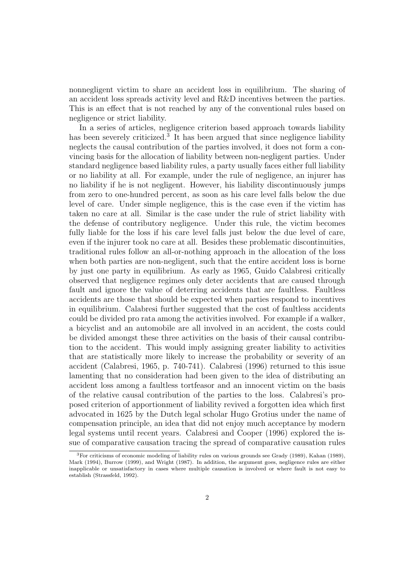nonnegligent victim to share an accident loss in equilibrium. The sharing of an accident loss spreads activity level and R&D incentives between the parties. This is an effect that is not reached by any of the conventional rules based on negligence or strict liability.

In a series of articles, negligence criterion based approach towards liability has been severely criticized.<sup>3</sup> It has been argued that since negligence liability neglects the causal contribution of the parties involved, it does not form a convincing basis for the allocation of liability between non-negligent parties. Under standard negligence based liability rules, a party usually faces either full liability or no liability at all. For example, under the rule of negligence, an injurer has no liability if he is not negligent. However, his liability discontinuously jumps from zero to one-hundred percent, as soon as his care level falls below the due level of care. Under simple negligence, this is the case even if the victim has taken no care at all. Similar is the case under the rule of strict liability with the defense of contributory negligence. Under this rule, the victim becomes fully liable for the loss if his care level falls just below the due level of care, even if the injurer took no care at all. Besides these problematic discontinuities, traditional rules follow an all-or-nothing approach in the allocation of the loss when both parties are non-negligent, such that the entire accident loss is borne by just one party in equilibrium. As early as 1965, Guido Calabresi critically observed that negligence regimes only deter accidents that are caused through fault and ignore the value of deterring accidents that are faultless. Faultless accidents are those that should be expected when parties respond to incentives in equilibrium. Calabresi further suggested that the cost of faultless accidents could be divided pro rata among the activities involved. For example if a walker, a bicyclist and an automobile are all involved in an accident, the costs could be divided amongst these three activities on the basis of their causal contribution to the accident. This would imply assigning greater liability to activities that are statistically more likely to increase the probability or severity of an accident (Calabresi, 1965, p. 740-741). Calabresi (1996) returned to this issue lamenting that no consideration had been given to the idea of distributing an accident loss among a faultless tortfeasor and an innocent victim on the basis of the relative causal contribution of the parties to the loss. Calabresi's proposed criterion of apportionment of liability revived a forgotten idea which first advocated in 1625 by the Dutch legal scholar Hugo Grotius under the name of compensation principle, an idea that did not enjoy much acceptance by modern legal systems until recent years. Calabresi and Cooper (1996) explored the issue of comparative causation tracing the spread of comparative causation rules

<sup>3</sup>For criticisms of economic modeling of liability rules on various grounds see Grady (1989), Kahan (1989), Mark (1994), Burrow (1999), and Wright (1987). In addition, the argument goes, negligence rules are either inapplicable or unsatisfactory in cases where multiple causation is involved or where fault is not easy to establish (Strassfeld, 1992).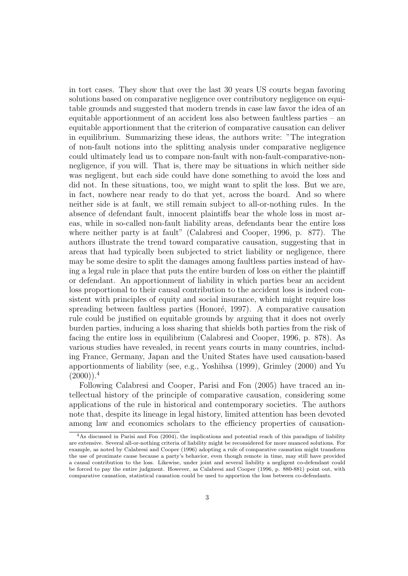in tort cases. They show that over the last 30 years US courts began favoring solutions based on comparative negligence over contributory negligence on equitable grounds and suggested that modern trends in case law favor the idea of an equitable apportionment of an accident loss also between faultless parties – an equitable apportionment that the criterion of comparative causation can deliver in equilibrium. Summarizing these ideas, the authors write: "The integration of non-fault notions into the splitting analysis under comparative negligence could ultimately lead us to compare non-fault with non-fault-comparative-nonnegligence, if you will. That is, there may be situations in which neither side was negligent, but each side could have done something to avoid the loss and did not. In these situations, too, we might want to split the loss. But we are, in fact, nowhere near ready to do that yet, across the board. And so where neither side is at fault, we still remain subject to all-or-nothing rules. In the absence of defendant fault, innocent plaintiffs bear the whole loss in most areas, while in so-called non-fault liability areas, defendants bear the entire loss where neither party is at fault" (Calabresi and Cooper, 1996, p. 877). The authors illustrate the trend toward comparative causation, suggesting that in areas that had typically been subjected to strict liability or negligence, there may be some desire to split the damages among faultless parties instead of having a legal rule in place that puts the entire burden of loss on either the plaintiff or defendant. An apportionment of liability in which parties bear an accident loss proportional to their causal contribution to the accident loss is indeed consistent with principles of equity and social insurance, which might require loss spreading between faultless parties (Honoré, 1997). A comparative causation rule could be justified on equitable grounds by arguing that it does not overly burden parties, inducing a loss sharing that shields both parties from the risk of facing the entire loss in equilibrium (Calabresi and Cooper, 1996, p. 878). As various studies have revealed, in recent years courts in many countries, including France, Germany, Japan and the United States have used causation-based apportionments of liability (see, e.g., Yoshihsa (1999), Grimley (2000) and Yu  $(2000)$ ).<sup>4</sup>

Following Calabresi and Cooper, Parisi and Fon (2005) have traced an intellectual history of the principle of comparative causation, considering some applications of the rule in historical and contemporary societies. The authors note that, despite its lineage in legal history, limited attention has been devoted among law and economics scholars to the efficiency properties of causation-

<sup>4</sup>As discussed in Parisi and Fon (2004), the implications and potential reach of this paradigm of liability are extensive. Several all-or-nothing criteria of liability might be reconsidered for more nuanced solutions. For example, as noted by Calabresi and Cooper (1996) adopting a rule of comparative causation might transform the use of proximate cause because a party's behavior, even though remote in time, may still have provided a causal contribution to the loss. Likewise, under joint and several liability a negligent co-defendant could be forced to pay the entire judgment. However, as Calabresi and Cooper (1996, p. 880-881) point out, with comparative causation, statistical causation could be used to apportion the loss between co-defendants.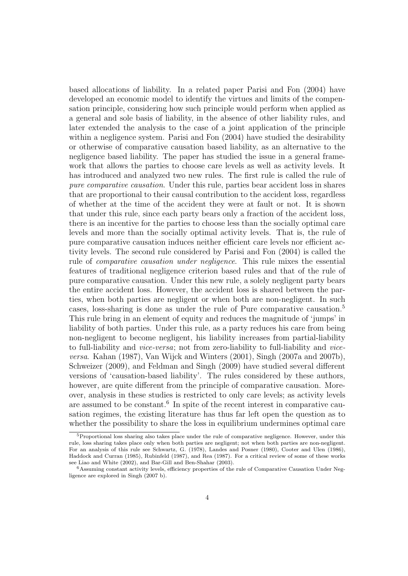based allocations of liability. In a related paper Parisi and Fon (2004) have developed an economic model to identify the virtues and limits of the compensation principle, considering how such principle would perform when applied as a general and sole basis of liability, in the absence of other liability rules, and later extended the analysis to the case of a joint application of the principle within a negligence system. Parisi and Fon (2004) have studied the desirability or otherwise of comparative causation based liability, as an alternative to the negligence based liability. The paper has studied the issue in a general framework that allows the parties to choose care levels as well as activity levels. It has introduced and analyzed two new rules. The first rule is called the rule of pure comparative causation. Under this rule, parties bear accident loss in shares that are proportional to their causal contribution to the accident loss, regardless of whether at the time of the accident they were at fault or not. It is shown that under this rule, since each party bears only a fraction of the accident loss, there is an incentive for the parties to choose less than the socially optimal care levels and more than the socially optimal activity levels. That is, the rule of pure comparative causation induces neither efficient care levels nor efficient activity levels. The second rule considered by Parisi and Fon (2004) is called the rule of comparative causation under negligence. This rule mixes the essential features of traditional negligence criterion based rules and that of the rule of pure comparative causation. Under this new rule, a solely negligent party bears the entire accident loss. However, the accident loss is shared between the parties, when both parties are negligent or when both are non-negligent. In such cases, loss-sharing is done as under the rule of Pure comparative causation.<sup>5</sup> This rule bring in an element of equity and reduces the magnitude of 'jumps' in liability of both parties. Under this rule, as a party reduces his care from being non-negligent to become negligent, his liability increases from partial-liability to full-liability and vice-versa; not from zero-liability to full-liability and viceversa. Kahan (1987), Van Wijck and Winters (2001), Singh (2007a and 2007b), Schweizer (2009), and Feldman and Singh (2009) have studied several different versions of 'causation-based liability'. The rules considered by these authors, however, are quite different from the principle of comparative causation. Moreover, analysis in these studies is restricted to only care levels; as activity levels are assumed to be constant.<sup>6</sup> In spite of the recent interest in comparative causation regimes, the existing literature has thus far left open the question as to whether the possibility to share the loss in equilibrium undermines optimal care

<sup>&</sup>lt;sup>5</sup>Proportional loss sharing also takes place under the rule of comparative negligence. However, under this rule, loss sharing takes place only when both parties are negligent; not when both parties are non-negligent. For an analysis of this rule see Schwartz, G. (1978), Landes and Posner (1980), Cooter and Ulen (1986), Haddock and Curran (1985), Rubinfeld (1987), and Rea (1987). For a critical review of some of these works see Liao and White (2002), and Bar-Gill and Ben-Shahar (2003).

 $6$ Assuming constant activity levels, efficiency properties of the rule of Comparative Causation Under Negligence are explored in Singh (2007 b).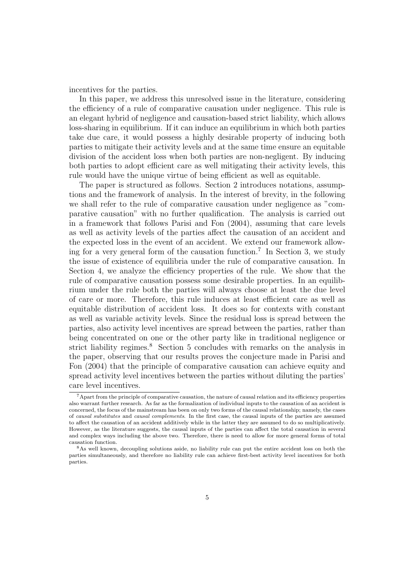incentives for the parties.

In this paper, we address this unresolved issue in the literature, considering the efficiency of a rule of comparative causation under negligence. This rule is an elegant hybrid of negligence and causation-based strict liability, which allows loss-sharing in equilibrium. If it can induce an equilibrium in which both parties take due care, it would possess a highly desirable property of inducing both parties to mitigate their activity levels and at the same time ensure an equitable division of the accident loss when both parties are non-negligent. By inducing both parties to adopt efficient care as well mitigating their activity levels, this rule would have the unique virtue of being efficient as well as equitable.

The paper is structured as follows. Section 2 introduces notations, assumptions and the framework of analysis. In the interest of brevity, in the following we shall refer to the rule of comparative causation under negligence as "comparative causation" with no further qualification. The analysis is carried out in a framework that follows Parisi and Fon (2004), assuming that care levels as well as activity levels of the parties affect the causation of an accident and the expected loss in the event of an accident. We extend our framework allowing for a very general form of the causation function.<sup>7</sup> In Section 3, we study the issue of existence of equilibria under the rule of comparative causation. In Section 4, we analyze the efficiency properties of the rule. We show that the rule of comparative causation possess some desirable properties. In an equilibrium under the rule both the parties will always choose at least the due level of care or more. Therefore, this rule induces at least efficient care as well as equitable distribution of accident loss. It does so for contexts with constant as well as variable activity levels. Since the residual loss is spread between the parties, also activity level incentives are spread between the parties, rather than being concentrated on one or the other party like in traditional negligence or strict liability regimes.<sup>8</sup> Section 5 concludes with remarks on the analysis in the paper, observing that our results proves the conjecture made in Parisi and Fon (2004) that the principle of comparative causation can achieve equity and spread activity level incentives between the parties without diluting the parties' care level incentives.

<sup>7</sup>Apart from the principle of comparative causation, the nature of causal relation and its efficiency properties also warrant further research. As far as the formalization of individual inputs to the causation of an accident is concerned, the focus of the mainstream has been on only two forms of the causal relationship; namely, the cases of causal substitutes and causal complements. In the first case, the causal inputs of the parties are assumed to affect the causation of an accident additively while in the latter they are assumed to do so multiplicatively. However, as the literature suggests, the causal inputs of the parties can affect the total causation in several and complex ways including the above two. Therefore, there is need to allow for more general forms of total causation function.

<sup>8</sup>As well known, decoupling solutions aside, no liability rule can put the entire accident loss on both the parties simultaneously, and therefore no liability rule can achieve first-best activity level incentives for both parties.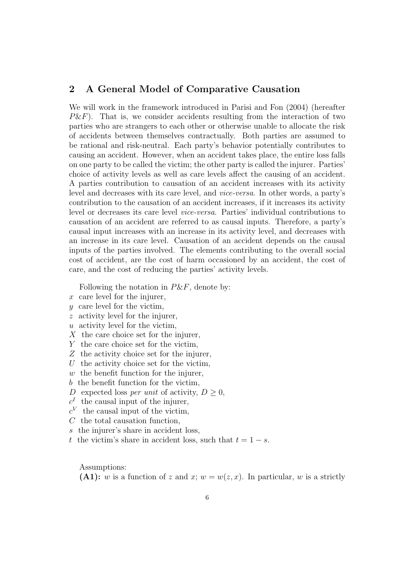### 2 A General Model of Comparative Causation

We will work in the framework introduced in Parisi and Fon (2004) (hereafter  $P\&F$ ). That is, we consider accidents resulting from the interaction of two parties who are strangers to each other or otherwise unable to allocate the risk of accidents between themselves contractually. Both parties are assumed to be rational and risk-neutral. Each party's behavior potentially contributes to causing an accident. However, when an accident takes place, the entire loss falls on one party to be called the victim; the other party is called the injurer. Parties' choice of activity levels as well as care levels affect the causing of an accident. A parties contribution to causation of an accident increases with its activity level and decreases with its care level, and vice-versa. In other words, a party's contribution to the causation of an accident increases, if it increases its activity level or decreases its care level vice-versa. Parties' individual contributions to causation of an accident are referred to as causal inputs. Therefore, a party's causal input increases with an increase in its activity level, and decreases with an increase in its care level. Causation of an accident depends on the causal inputs of the parties involved. The elements contributing to the overall social cost of accident, are the cost of harm occasioned by an accident, the cost of care, and the cost of reducing the parties' activity levels.

Following the notation in  $P \& F$ , denote by:

- $x$  care level for the injurer,
- y care level for the victim,
- z activity level for the injurer,
- $u$  activity level for the victim,
- X the care choice set for the injurer,
- Y the care choice set for the victim,
- Z the activity choice set for the injurer,
- U the activity choice set for the victim,
- $w$  the benefit function for the injurer,
- b the benefit function for the victim,
- D expected loss per unit of activity,  $D \geq 0$ ,
- $c<sup>I</sup>$  the causal input of the injurer,
- $c^V$  the causal input of the victim,
- $C$  the total causation function,
- s the injurer's share in accident loss,
- t the victim's share in accident loss, such that  $t = 1 s$ .

Assumptions:

(A1): w is a function of z and x;  $w = w(z, x)$ . In particular, w is a strictly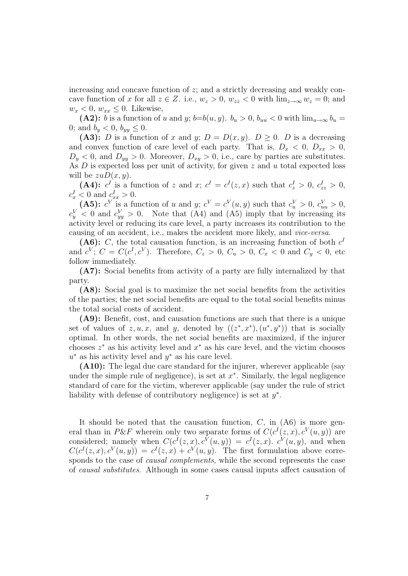increasing and concave function of  $z$ ; and a strictly decreasing and weakly concave function of x for all  $z \in Z$ . i.e.,  $w_z > 0$ ,  $w_{zz} < 0$  with  $\lim_{z \to \infty} w_z = 0$ ; and  $w_x < 0$ ,  $w_{xx} \leq 0$ . Likewise,

(A2): b is a function of u and y; b=b(u, y).  $b_u > 0$ ,  $b_{uu} < 0$  with  $\lim_{u \to \infty} b_u =$ 0; and  $b_y < 0, b_{yy} \leq 0$ .

(A3): D is a function of x and y;  $D = D(x, y)$ .  $D \ge 0$ . D is a decreasing and convex function of care level of each party. That is,  $D_x < 0$ ,  $D_{xx} > 0$ ,  $D_y < 0$ , and  $D_{yy} > 0$ . Moreover,  $D_{xy} > 0$ , i.e., care by parties are substitutes. As  $D$  is expected loss per unit of activity, for given  $z$  and  $u$  total expected loss will be  $zuD(x, y)$ .

(A4):  $c^I$  is a function of z and x;  $c^I = c^I(z, x)$  such that  $c_z^I > 0$ ,  $c_{zz}^I > 0$ ,  $c_x^I < 0$  and  $c_{xx}^I > 0$ .

(A5):  $c^V$  is a function of u and y;  $c^V = c^V(u, y)$  such that  $c_u^V > 0$ ,  $c_{uu}^V > 0$ ,  $c_y^V$  < 0 and  $c_{yy}^V > 0$ . Note that (A4) and (A5) imply that by increasing its activity level or reducing its care level, a party increases its contribution to the causing of an accident, i.e., makes the accident more likely, and vice-versa.

(A6): C, the total causation function, is an increasing function of both  $c<sup>1</sup>$ and  $c^V$ ;  $C = C(c^I, c^V)$ . Therefore,  $C_z > 0$ ,  $C_u > 0$ ,  $C_x < 0$  and  $C_y < 0$ , etc follow immediately.

(A7): Social benefits from activity of a party are fully internalized by that party.

(A8): Social goal is to maximize the net social benefits from the activities of the parties; the net social benefits are equal to the total social benefits minus the total social costs of accident.

(A9): Benefit, cost, and causation functions are such that there is a unique set of values of  $z, u, x$ , and y, denoted by  $((z^*, x^*), (u^*, y^*))$  that is socially optimal. In other words, the net social benefits are maximized, if the injurer chooses  $z^*$  as his activity level and  $x^*$  as his care level, and the victim chooses  $u^*$  as his activity level and  $y^*$  as his care level.

(A10): The legal due care standard for the injurer, wherever applicable (say under the simple rule of negligence), is set at  $x^*$ . Similarly, the legal negligence standard of care for the victim, wherever applicable (say under the rule of strict liability with defense of contributory negligence) is set at  $y^*$ .

It should be noted that the causation function,  $C$ , in  $(46)$  is more general than in P&F wherein only two separate forms of  $C(c^{I}(z, x), c^{V}(u, y))$  are considered; namely when  $C(c^{I}(z, x), c^{V}(u, y)) = c^{I}(z, x)$ .  $c^{V}(u, y)$ , and when  $C(c^{I}(z, x), c^{V}(u, y)) = c^{I}(z, x) + c^{V}(u, y)$ . The first formulation above corresponds to the case of causal complements, while the second represents the case of causal substitutes. Although in some cases causal inputs affect causation of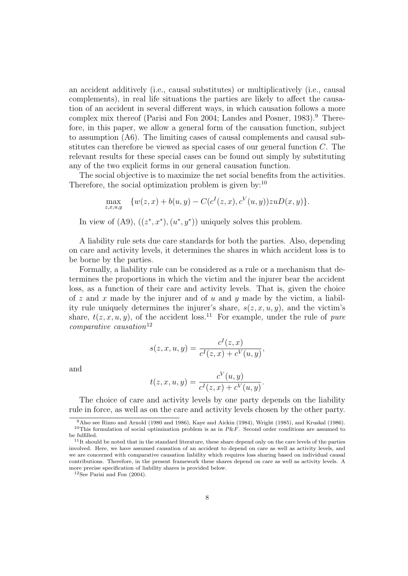an accident additively (i.e., causal substitutes) or multiplicatively (i.e., causal complements), in real life situations the parties are likely to affect the causation of an accident in several different ways, in which causation follows a more complex mix thereof (Parisi and Fon 2004; Landes and Posner, 1983).<sup>9</sup> Therefore, in this paper, we allow a general form of the causation function, subject to assumption (A6). The limiting cases of causal complements and causal substitutes can therefore be viewed as special cases of our general function  $C$ . The relevant results for these special cases can be found out simply by substituting any of the two explicit forms in our general causation function.

The social objective is to maximize the net social benefits from the activities. Therefore, the social optimization problem is given by: $^{10}$ 

$$
\max_{z,x,u,y} \{w(z,x) + b(u,y) - C(c^{I}(z,x), c^{V}(u,y))zuD(x,y)\}.
$$

In view of  $(A9)$ ,  $((z^*,x^*),(u^*,y^*))$  uniquely solves this problem.

A liability rule sets due care standards for both the parties. Also, depending on care and activity levels, it determines the shares in which accident loss is to be borne by the parties.

Formally, a liability rule can be considered as a rule or a mechanism that determines the proportions in which the victim and the injurer bear the accident loss, as a function of their care and activity levels. That is, given the choice of z and x made by the injurer and of u and y made by the victim, a liability rule uniquely determines the injurer's share,  $s(z, x, u, y)$ , and the victim's share,  $t(z, x, u, y)$ , of the accident loss.<sup>11</sup> For example, under the rule of *pure*  $comparative\ causation<sup>12</sup>$ 

$$
s(z, x, u, y) = \frac{c^{I}(z, x)}{c^{I}(z, x) + c^{V}(u, y)},
$$

and

$$
t(z, x, u, y) = \frac{c^{V}(u, y)}{c^{I}(z, x) + c^{V}(u, y)}.
$$

The choice of care and activity levels by one party depends on the liability rule in force, as well as on the care and activity levels chosen by the other party.

<sup>9</sup>Also see Rizzo and Arnold (1980 and 1986), Kaye and Aickin (1984), Wright (1985), and Kruskal (1986). <sup>10</sup>This formulation of social optimization problem is as in  $P \& F$ . Second order conditions are assumed to be fulfilled.

 $11$ It should be noted that in the standard literature, these share depend only on the care levels of the parties involved. Here, we have assumed causation of an accident to depend on care as well as activity levels, and we are concerned with comparative causation liability which requires loss sharing based on individual causal contributions. Therefore, in the present framework these shares depend on care as well as activity levels. A more precise specification of liability shares is provided below.

<sup>12</sup>See Parisi and Fon (2004).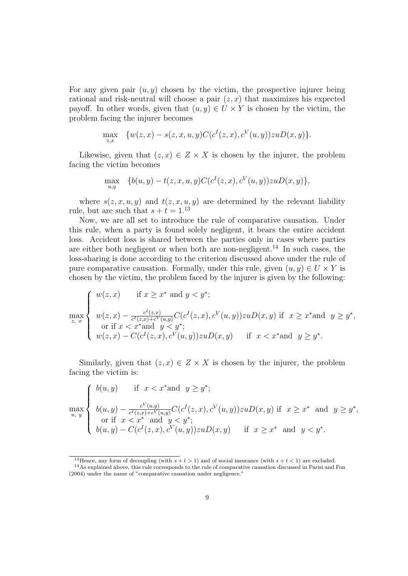For any given pair  $(u, y)$  chosen by the victim, the prospective injurer being rational and risk-neutral will choose a pair  $(z, x)$  that maximizes his expected payoff. In other words, given that  $(u, y) \in U \times Y$  is chosen by the victim, the problem facing the injurer becomes

$$
\max_{z,x} \quad \{w(z,x) - s(z,x,u,y)C(c^{I}(z,x),c^{V}(u,y))zuD(x,y)\}.
$$

Likewise, given that  $(z, x) \in Z \times X$  is chosen by the injurer, the problem facing the victim becomes

$$
\max_{u,y} \quad \{b(u,y) - t(z,x,u,y)C(c^{I}(z,x),c^{V}(u,y))zuD(x,y)\},\
$$

where  $s(z, x, u, y)$  and  $t(z, x, u, y)$  are determined by the relevant liability rule, but are such that  $s + t = 1.13$ 

Now, we are all set to introduce the rule of comparative causation. Under this rule, when a party is found solely negligent, it bears the entire accident loss. Accident loss is shared between the parties only in cases where parties are either both negligent or when both are non-negligent.<sup>14</sup> In such cases, the loss-sharing is done according to the criterion discussed above under the rule of pure comparative causation. Formally, under this rule, given  $(u, y) \in U \times Y$  is chosen by the victim, the problem faced by the injurer is given by the following:

$$
\max_{z, x} \begin{cases} w(z, x) & \text{if } x \geq x^* \text{ and } y < y^*; \\ w(z, x) - \frac{c^I(z, x)}{c^I(z, x) + c^V(u, y)} C(c^I(z, x), c^V(u, y)) z u D(x, y) \text{ if } x \geq x^* \text{ and } y \geq y^*, \\ \text{or if } x < x^* \text{ and } y < y^*; \\ w(z, x) - C(c^I(z, x), c^V(u, y)) z u D(x, y) & \text{if } x < x^* \text{ and } y \geq y^*. \end{cases}
$$

Similarly, given that  $(z, x) \in Z \times X$  is chosen by the injurer, the problem facing the victim is:

$$
\max_{u, y} \begin{cases} b(u, y) & \text{if } x < x^* \text{ and } y \ge y^*; \\ b(u, y) - \frac{c^V(u, y)}{c^I(z, x) + c^V(u, y)} C(c^I(z, x), c^V(u, y)) z u D(x, y) \text{ if } x \ge x^* \text{ and } y \ge y^*, \\ \text{or if } x < x^* \text{ and } y < y^*; \\ b(u, y) - C(c^I(z, x), c^V(u, y)) z u D(x, y) & \text{if } x \ge x^* \text{ and } y < y^*. \end{cases}
$$

<sup>&</sup>lt;sup>13</sup>Hence, any form of decoupling (with  $s + t > 1$ ) and of social insurance (with  $s + t < 1$ ) are excluded. <sup>14</sup>As explained above, this rule corresponds to the rule of comparative causation discussed in Parisi and Fon

<sup>(2004)</sup> under the name of "comparative causation under negligence."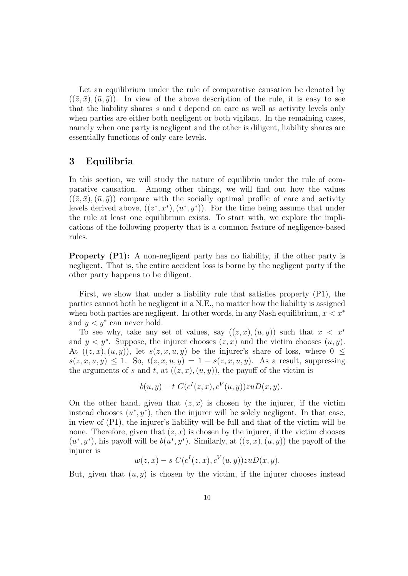Let an equilibrium under the rule of comparative causation be denoted by  $((\bar{z}, \bar{x}),(\bar{u}, \bar{y}))$ . In view of the above description of the rule, it is easy to see that the liability shares s and t depend on care as well as activity levels only when parties are either both negligent or both vigilant. In the remaining cases, namely when one party is negligent and the other is diligent, liability shares are essentially functions of only care levels.

### 3 Equilibria

In this section, we will study the nature of equilibria under the rule of comparative causation. Among other things, we will find out how the values  $((\bar{z}, \bar{x}),(\bar{u}, \bar{y}))$  compare with the socially optimal profile of care and activity levels derived above,  $((z^*,x^*),(u^*,y^*))$ . For the time being assume that under the rule at least one equilibrium exists. To start with, we explore the implications of the following property that is a common feature of negligence-based rules.

Property (P1): A non-negligent party has no liability, if the other party is negligent. That is, the entire accident loss is borne by the negligent party if the other party happens to be diligent.

First, we show that under a liability rule that satisfies property (P1), the parties cannot both be negligent in a N.E., no matter how the liability is assigned when both parties are negligent. In other words, in any Nash equilibrium,  $x < x^*$ and  $y < y^*$  can never hold.

To see why, take any set of values, say  $((z, x), (u, y))$  such that  $x < x^*$ and  $y < y^*$ . Suppose, the injurer chooses  $(z, x)$  and the victim chooses  $(u, y)$ . At  $((z, x), (u, y))$ , let  $s(z, x, u, y)$  be the injurer's share of loss, where  $0 \leq$  $s(z, x, u, y) \leq 1$ . So,  $t(z, x, u, y) = 1 - s(z, x, u, y)$ . As a result, suppressing the arguments of s and t, at  $((z, x), (u, y))$ , the payoff of the victim is

$$
b(u, y) - t C(cI(z, x), cV(u, y))zuD(x, y).
$$

On the other hand, given that  $(z, x)$  is chosen by the injurer, if the victim instead chooses  $(u^*, y^*)$ , then the injurer will be solely negligent. In that case, in view of (P1), the injurer's liability will be full and that of the victim will be none. Therefore, given that  $(z, x)$  is chosen by the injurer, if the victim chooses  $(u^*, y^*)$ , his payoff will be  $b(u^*, y^*)$ . Similarly, at  $((z, x), (u, y))$  the payoff of the injurer is

$$
w(z,x) - s C(cI(z,x), cV(u,y))zuD(x,y).
$$

But, given that  $(u, y)$  is chosen by the victim, if the injurer chooses instead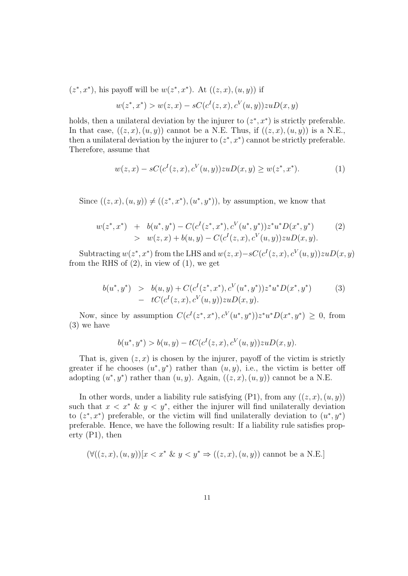$(z^*,x^*)$ , his payoff will be  $w(z^*,x^*)$ . At  $((z,x),(u,y))$  if

$$
w(z^*, x^*) > w(z, x) - sC(c^{I}(z, x), c^{V}(u, y))zuD(x, y)
$$

holds, then a unilateral deviation by the injurer to  $(z^*, x^*)$  is strictly preferable. In that case,  $((z, x), (u, y))$  cannot be a N.E. Thus, if  $((z, x), (u, y))$  is a N.E., then a unilateral deviation by the injurer to  $(z^*, x^*)$  cannot be strictly preferable. Therefore, assume that

$$
w(z,x) - sC(c^{I}(z,x), c^{V}(u,y))zuD(x,y) \ge w(z^*, x^*).
$$
 (1)

Since  $((z, x), (u, y)) \neq ((z^*, x^*), (u^*, y^*))$ , by assumption, we know that

$$
w(z^*,x^*) + b(u^*,y^*) - C(c^I(z^*,x^*),c^V(u^*,y^*))z^*u^*D(x^*,y^*)
$$
  
> 
$$
w(z,x) + b(u,y) - C(c^I(z,x),c^V(u,y))zuD(x,y).
$$
 (2)

Subtracting  $w(z^*,x^*)$  from the LHS and  $w(z,x) - sC(c^I(z,x), c^V(u,y))zuD(x,y)$ from the RHS of  $(2)$ , in view of  $(1)$ , we get

$$
b(u^*, y^*) > b(u, y) + C(c^I(z^*, x^*), c^V(u^*, y^*))z^*u^*D(x^*, y^*)
$$
\n
$$
- tC(c^I(z, x), c^V(u, y))zuD(x, y).
$$
\n(3)

Now, since by assumption  $C(c^I(z^*,x^*), c^V(u^*,y^*))z^*u^*D(x^*,y^*) \geq 0$ , from (3) we have

$$
b(u^*, y^*) > b(u, y) - tC(c^{I}(z, x), c^{V}(u, y))zuD(x, y).
$$

That is, given  $(z, x)$  is chosen by the injurer, payoff of the victim is strictly greater if he chooses  $(u^*, y^*)$  rather than  $(u, y)$ , i.e., the victim is better off adopting  $(u^*, y^*)$  rather than  $(u, y)$ . Again,  $((z, x), (u, y))$  cannot be a N.E.

In other words, under a liability rule satisfying  $(P1)$ , from any  $((z, x), (u, y))$ such that  $x < x^*$  &  $y < y^*$ , either the injurer will find unilaterally deviation to  $(z^*,x^*)$  preferable, or the victim will find unilaterally deviation to  $(u^*,y^*)$ preferable. Hence, we have the following result: If a liability rule satisfies property (P1), then

$$
(\forall ((z, x), (u, y))[x < x^* \& y < y^* \Rightarrow ((z, x), (u, y)) \text{ cannot be a N.E.}]
$$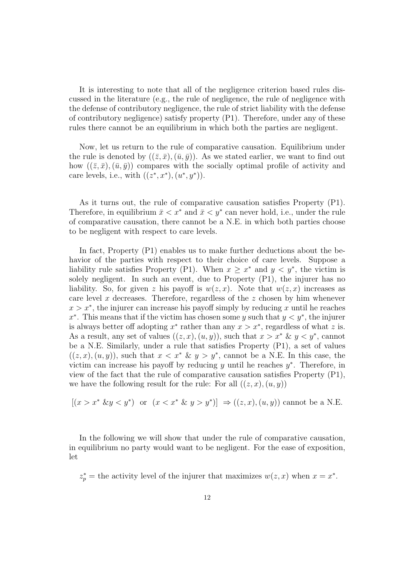It is interesting to note that all of the negligence criterion based rules discussed in the literature (e.g., the rule of negligence, the rule of negligence with the defense of contributory negligence, the rule of strict liability with the defense of contributory negligence) satisfy property  $(P1)$ . Therefore, under any of these rules there cannot be an equilibrium in which both the parties are negligent.

Now, let us return to the rule of comparative causation. Equilibrium under the rule is denoted by  $((\bar{z}, \bar{x}),(\bar{u}, \bar{y}))$ . As we stated earlier, we want to find out how  $((\bar{z}, \bar{x}), (\bar{u}, \bar{y}))$  compares with the socially optimal profile of activity and care levels, i.e., with  $((z^*, x^*), (u^*, y^*)).$ 

As it turns out, the rule of comparative causation satisfies Property (P1). Therefore, in equilibrium  $\bar{x} < x^*$  and  $\bar{x} < y^*$  can never hold, i.e., under the rule of comparative causation, there cannot be a N.E. in which both parties choose to be negligent with respect to care levels.

In fact, Property (P1) enables us to make further deductions about the behavior of the parties with respect to their choice of care levels. Suppose a liability rule satisfies Property (P1). When  $x \geq x^*$  and  $y < y^*$ , the victim is solely negligent. In such an event, due to Property (P1), the injurer has no liability. So, for given z his payoff is  $w(z, x)$ . Note that  $w(z, x)$  increases as care level x decreases. Therefore, regardless of the  $z$  chosen by him whenever  $x > x^*$ , the injurer can increase his payoff simply by reducing x until he reaches  $x^*$ . This means that if the victim has chosen some y such that  $y < y^*$ , the injurer is always better off adopting  $x^*$  rather than any  $x > x^*$ , regardless of what z is. As a result, any set of values  $((z, x), (u, y))$ , such that  $x > x^*$  &  $y < y^*$ , cannot be a N.E. Similarly, under a rule that satisfies Property (P1), a set of values  $((z, x), (u, y))$ , such that  $x < x^* \& y > y^*$ , cannot be a N.E. In this case, the victim can increase his payoff by reducing  $y$  until he reaches  $y^*$ . Therefore, in view of the fact that the rule of comparative causation satisfies Property (P1), we have the following result for the rule: For all  $((z, x), (u, y))$ 

$$
[(x > x^* \& y < y^*) \text{ or } (x < x^* \& y > y^*)] \Rightarrow ((z, x), (u, y)) \text{ cannot be a N.E.}
$$

In the following we will show that under the rule of comparative causation, in equilibrium no party would want to be negligent. For the ease of exposition, let

 $z_p^*$  = the activity level of the injurer that maximizes  $w(z, x)$  when  $x = x^*$ .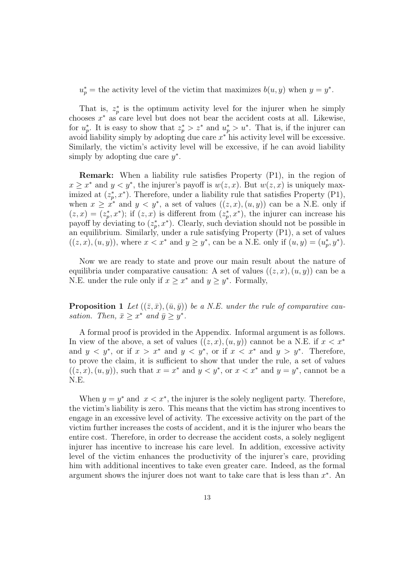$u_p^*$  = the activity level of the victim that maximizes  $b(u, y)$  when  $y = y^*$ .

That is,  $z_p^*$  is the optimum activity level for the injurer when he simply chooses  $x^*$  as care level but does not bear the accident costs at all. Likewise, for  $u_p^*$ . It is easy to show that  $z_p^* > z^*$  and  $u_p^* > u^*$ . That is, if the injurer can avoid liability simply by adopting due care  $x^*$  his activity level will be excessive. Similarly, the victim's activity level will be excessive, if he can avoid liability simply by adopting due care  $y^*$ .

Remark: When a liability rule satisfies Property (P1), in the region of  $x \geq x^*$  and  $y < y^*$ , the injurer's payoff is  $w(z, x)$ . But  $w(z, x)$  is uniquely maximized at  $(z_p^*, x^*)$ . Therefore, under a liability rule that satisfies Property (P1), when  $x \geq x^*$  and  $y < y^*$ , a set of values  $((z, x), (u, y))$  can be a N.E. only if  $(z, x) = (z_p^*, x^*)$ ; if  $(z, x)$  is different from  $(z_p^*, x^*)$ , the injurer can increase his payoff by deviating to  $(z_p^*, x^*)$ . Clearly, such deviation should not be possible in an equilibrium. Similarly, under a rule satisfying Property (P1), a set of values  $((z, x), (u, y)),$  where  $x < x^*$  and  $y \ge y^*$ , can be a N.E. only if  $(u, y) = (u_p^*, y^*)$ .

Now we are ready to state and prove our main result about the nature of equilibria under comparative causation: A set of values  $((z, x), (u, y))$  can be a N.E. under the rule only if  $x \geq x^*$  and  $y \geq y^*$ . Formally,

**Proposition 1** Let  $((\bar{z}, \bar{x}), (\bar{u}, \bar{y}))$  be a N.E. under the rule of comparative causation. Then,  $\bar{x} \geq x^*$  and  $\bar{y} \geq y^*$ .

A formal proof is provided in the Appendix. Informal argument is as follows. In view of the above, a set of values  $((z, x), (u, y))$  cannot be a N.E. if  $x < x^*$ and  $y \leq y^*$ , or if  $x > x^*$  and  $y \leq y^*$ , or if  $x \leq x^*$  and  $y > y^*$ . Therefore, to prove the claim, it is sufficient to show that under the rule, a set of values  $((z, x), (u, y))$ , such that  $x = x^*$  and  $y < y^*$ , or  $x < x^*$  and  $y = y^*$ , cannot be a N.E.

When  $y = y^*$  and  $x < x^*$ , the injurer is the solely negligent party. Therefore, the victim's liability is zero. This means that the victim has strong incentives to engage in an excessive level of activity. The excessive activity on the part of the victim further increases the costs of accident, and it is the injurer who bears the entire cost. Therefore, in order to decrease the accident costs, a solely negligent injurer has incentive to increase his care level. In addition, excessive activity level of the victim enhances the productivity of the injurer's care, providing him with additional incentives to take even greater care. Indeed, as the formal argument shows the injurer does not want to take care that is less than  $x^*$ . An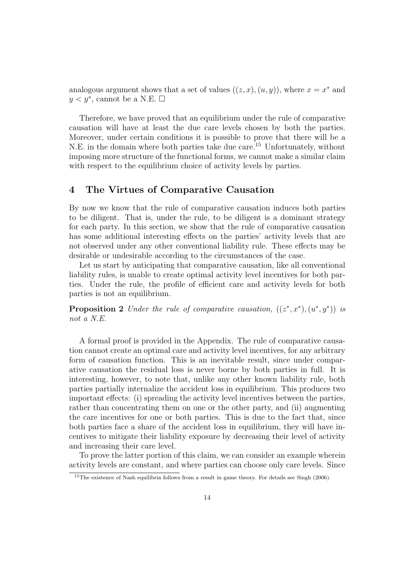analogous argument shows that a set of values  $((z, x), (u, y))$ , where  $x = x^*$  and  $y < y^*$ , cannot be a N.E.  $\Box$ 

Therefore, we have proved that an equilibrium under the rule of comparative causation will have at least the due care levels chosen by both the parties. Moreover, under certain conditions it is possible to prove that there will be a N.E. in the domain where both parties take due care.<sup>15</sup> Unfortunately, without imposing more structure of the functional forms, we cannot make a similar claim with respect to the equilibrium choice of activity levels by parties.

### 4 The Virtues of Comparative Causation

By now we know that the rule of comparative causation induces both parties to be diligent. That is, under the rule, to be diligent is a dominant strategy for each party. In this section, we show that the rule of comparative causation has some additional interesting effects on the parties' activity levels that are not observed under any other conventional liability rule. These effects may be desirable or undesirable according to the circumstances of the case.

Let us start by anticipating that comparative causation, like all conventional liability rules, is unable to create optimal activity level incentives for both parties. Under the rule, the profile of efficient care and activity levels for both parties is not an equilibrium.

**Proposition 2** Under the rule of comparative causation,  $((z^*, x^*), (u^*, y^*))$  is not a N.E.

A formal proof is provided in the Appendix. The rule of comparative causation cannot create an optimal care and activity level incentives, for any arbitrary form of causation function. This is an inevitable result, since under comparative causation the residual loss is never borne by both parties in full. It is interesting, however, to note that, unlike any other known liability rule, both parties partially internalize the accident loss in equilibrium. This produces two important effects: (i) spreading the activity level incentives between the parties, rather than concentrating them on one or the other party, and (ii) augmenting the care incentives for one or both parties. This is due to the fact that, since both parties face a share of the accident loss in equilibrium, they will have incentives to mitigate their liability exposure by decreasing their level of activity and increasing their care level.

To prove the latter portion of this claim, we can consider an example wherein activity levels are constant, and where parties can choose only care levels. Since

<sup>&</sup>lt;sup>15</sup>The existence of Nash equilibria follows from a result in game theory. For details see Singh (2006).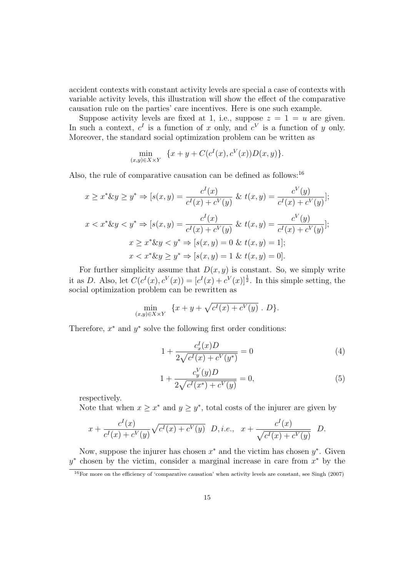accident contexts with constant activity levels are special a case of contexts with variable activity levels, this illustration will show the effect of the comparative causation rule on the parties' care incentives. Here is one such example.

Suppose activity levels are fixed at 1, i.e., suppose  $z = 1 = u$  are given. In such a context,  $c^I$  is a function of x only, and  $c^V$  is a function of y only. Moreover, the standard social optimization problem can be written as

$$
\min_{(x,y)\in X\times Y} \ \{x+y+C(c^{I}(x), c^{V}(x))D(x,y)\}.
$$

Also, the rule of comparative causation can be defined as follows:<sup>16</sup>

$$
x \ge x^* \& y \ge y^* \Rightarrow [s(x, y) = \frac{c^I(x)}{c^I(x) + c^V(y)} \& t(x, y) = \frac{c^V(y)}{c^I(x) + c^V(y)}];
$$
\n
$$
x < x^* \& y < y^* \Rightarrow [s(x, y) = \frac{c^I(x)}{c^I(x) + c^V(y)} \& t(x, y) = \frac{c^V(y)}{c^I(x) + c^V(y)}];
$$
\n
$$
x \ge x^* \& y < y^* \Rightarrow [s(x, y) = 0 \& t(x, y) = 1];
$$
\n
$$
x < x^* \& y \ge y^* \Rightarrow [s(x, y) = 1 \& t(x, y) = 0].
$$

For further simplicity assume that  $D(x, y)$  is constant. So, we simply write it as D. Also, let  $C(c^{I}(x), c^{V}(x)) = [c^{I}(x) + c^{V}(x)]^{\frac{1}{2}}$ . In this simple setting, the social optimization problem can be rewritten as

$$
\min_{(x,y)\in X\times Y} \ \{x+y+\sqrt{c^I(x)+c^V(y)} \ . \ D\}.
$$

Therefore,  $x^*$  and  $y^*$  solve the following first order conditions:

$$
1 + \frac{c_x^I(x)D}{2\sqrt{c^I(x) + c^V(y^*)}} = 0\tag{4}
$$

$$
1 + \frac{c_y^V(y)D}{2\sqrt{c^I(x^*) + c^V(y)}} = 0,
$$
\n(5)

respectively.

Note that when  $x \geq x^*$  and  $y \geq y^*$ , total costs of the injurer are given by

$$
x + \frac{c^{I}(x)}{c^{I}(x) + c^{V}(y)} \sqrt{c^{I}(x) + c^{V}(y)}
$$
 D, i.e.,  $x + \frac{c^{I}(x)}{\sqrt{c^{I}(x) + c^{V}(y)}}$  D.

Now, suppose the injurer has chosen  $x^*$  and the victim has chosen  $y^*$ . Given  $y^*$  chosen by the victim, consider a marginal increase in care from  $x^*$  by the

<sup>&</sup>lt;sup>16</sup>For more on the efficiency of 'comparative causation' when activity levels are constant, see Singh (2007)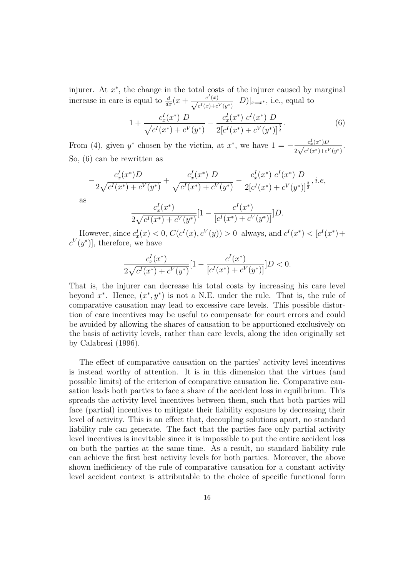injurer. At  $x^*$ , the change in the total costs of the injurer caused by marginal increase in care is equal to  $\frac{d}{dx}(x + \frac{c^I(x)}{\sqrt{c^I(x) + c^I(x)}})$  $\frac{c^*(x)}{c^I(x)+c^V(y^*)}$   $D)|_{x=x^*}$ , i.e., equal to

$$
1 + \frac{c_x^I(x^*) \ D}{\sqrt{c^I(x^*) + c^V(y^*)}} - \frac{c_x^I(x^*) \ c^I(x^*) \ D}{2[c^I(x^*) + c^V(y^*)]^{\frac{3}{2}}}.
$$
\n
$$
(6)
$$

From (4), given y<sup>\*</sup> chosen by the victim, at x<sup>\*</sup>, we have  $1 = -\frac{c_x^L(x^*)D}{\sqrt{L(x^*)^2}}$  $\frac{c_x^l(x^*)D}{2\sqrt{c^l(x^*)+c^V(y^*)}}.$ So, (6) can be rewritten as

$$
-\frac{c_x^I(x^*)D}{2\sqrt{c^I(x^*)+c^V(y^*)}} + \frac{c_x^I(x^*)D}{\sqrt{c^I(x^*)+c^V(y^*)}} - \frac{c_x^I(x^*)c^I(x^*)D}{2[c^I(x^*)+c^V(y^*)]^{\frac{3}{2}}}, i.e,
$$

as

$$
\frac{c_x^I(x^*)}{2\sqrt{c^I(x^*) + c^V(y^*)}} \Big[1 - \frac{c^I(x^*)}{[c^I(x^*) + c^V(y^*)]} \Big] D.
$$

However, since  $c_x^I(x) < 0$ ,  $C(c^I(x), c^V(y)) > 0$  always, and  $c^I(x^*) < [c^I(x^*) +$  $c^V(y^*)$ , therefore, we have

$$
\frac{c_x^I(x^*)}{2\sqrt{c^I(x^*) + c^V(y^*)}} \left[1 - \frac{c^I(x^*)}{[c^I(x^*) + c^V(y^*)]} \right] D < 0.
$$

That is, the injurer can decrease his total costs by increasing his care level beyond  $x^*$ . Hence,  $(x^*, y^*)$  is not a N.E. under the rule. That is, the rule of comparative causation may lead to excessive care levels. This possible distortion of care incentives may be useful to compensate for court errors and could be avoided by allowing the shares of causation to be apportioned exclusively on the basis of activity levels, rather than care levels, along the idea originally set by Calabresi (1996).

The effect of comparative causation on the parties' activity level incentives is instead worthy of attention. It is in this dimension that the virtues (and possible limits) of the criterion of comparative causation lie. Comparative causation leads both parties to face a share of the accident loss in equilibrium. This spreads the activity level incentives between them, such that both parties will face (partial) incentives to mitigate their liability exposure by decreasing their level of activity. This is an effect that, decoupling solutions apart, no standard liability rule can generate. The fact that the parties face only partial activity level incentives is inevitable since it is impossible to put the entire accident loss on both the parties at the same time. As a result, no standard liability rule can achieve the first best activity levels for both parties. Moreover, the above shown inefficiency of the rule of comparative causation for a constant activity level accident context is attributable to the choice of specific functional form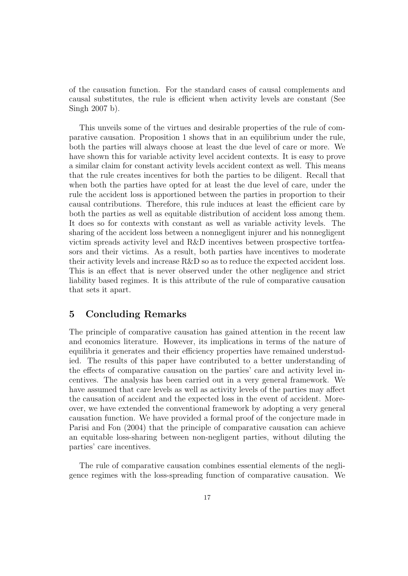of the causation function. For the standard cases of causal complements and causal substitutes, the rule is efficient when activity levels are constant (See Singh 2007 b).

This unveils some of the virtues and desirable properties of the rule of comparative causation. Proposition 1 shows that in an equilibrium under the rule, both the parties will always choose at least the due level of care or more. We have shown this for variable activity level accident contexts. It is easy to prove a similar claim for constant activity levels accident context as well. This means that the rule creates incentives for both the parties to be diligent. Recall that when both the parties have opted for at least the due level of care, under the rule the accident loss is apportioned between the parties in proportion to their causal contributions. Therefore, this rule induces at least the efficient care by both the parties as well as equitable distribution of accident loss among them. It does so for contexts with constant as well as variable activity levels. The sharing of the accident loss between a nonnegligent injurer and his nonnegligent victim spreads activity level and R&D incentives between prospective tortfeasors and their victims. As a result, both parties have incentives to moderate their activity levels and increase R&D so as to reduce the expected accident loss. This is an effect that is never observed under the other negligence and strict liability based regimes. It is this attribute of the rule of comparative causation that sets it apart.

## 5 Concluding Remarks

The principle of comparative causation has gained attention in the recent law and economics literature. However, its implications in terms of the nature of equilibria it generates and their efficiency properties have remained understudied. The results of this paper have contributed to a better understanding of the effects of comparative causation on the parties' care and activity level incentives. The analysis has been carried out in a very general framework. We have assumed that care levels as well as activity levels of the parties may affect the causation of accident and the expected loss in the event of accident. Moreover, we have extended the conventional framework by adopting a very general causation function. We have provided a formal proof of the conjecture made in Parisi and Fon (2004) that the principle of comparative causation can achieve an equitable loss-sharing between non-negligent parties, without diluting the parties' care incentives.

The rule of comparative causation combines essential elements of the negligence regimes with the loss-spreading function of comparative causation. We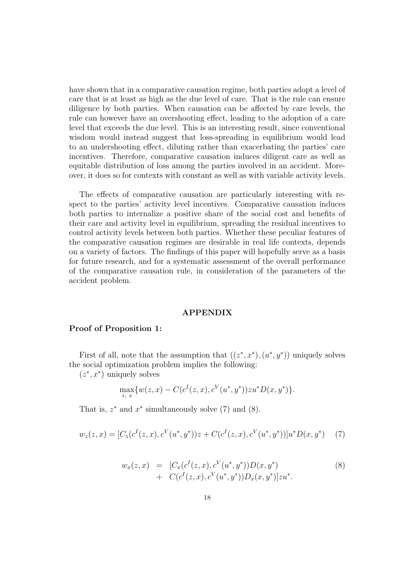have shown that in a comparative causation regime, both parties adopt a level of care that is at least as high as the due level of care. That is the rule can ensure diligence by both parties. When causation can be affected by care levels, the rule can however have an overshooting effect, leading to the adoption of a care level that exceeds the due level. This is an interesting result, since conventional wisdom would instead suggest that loss-spreading in equilibrium would lead to an undershooting effect, diluting rather than exacerbating the parties' care incentives. Therefore, comparative causation induces diligent care as well as equitable distribution of loss among the parties involved in an accident. Moreover, it does so for contexts with constant as well as with variable activity levels.

The effects of comparative causation are particularly interesting with respect to the parties' activity level incentives. Comparative causation induces both parties to internalize a positive share of the social cost and benefits of their care and activity level in equilibrium, spreading the residual incentives to control activity levels between both parties. Whether these peculiar features of the comparative causation regimes are desirable in real life contexts, depends on a variety of factors. The findings of this paper will hopefully serve as a basis for future research, and for a systematic assessment of the overall performance of the comparative causation rule, in consideration of the parameters of the accident problem.

#### APPENDIX

#### Proof of Proposition 1:

First of all, note that the assumption that  $((z^*, x^*), (u^*, y^*))$  uniquely solves the social optimization problem implies the following:

 $(z^*, x^*)$  uniquely solves

$$
\max_{z, x} \{ w(z, x) - C(c^I(z, x), c^V(u^*, y^*)) z u^* D(x, y^*) \}.
$$

That is,  $z^*$  and  $x^*$  simultaneously solve (7) and (8).

$$
w_z(z, x) = [C_z(c^I(z, x), c^V(u^*, y^*))z + C(c^I(z, x), c^V(u^*, y^*))]u^*D(x, y^*)
$$
 (7)

$$
w_x(z, x) = [C_x(c^I(z, x), c^V(u^*, y^*))D(x, y^*)+ C(c^I(z, x), c^V(u^*, y^*))D_x(x, y^*)]zu^*.
$$
\n(8)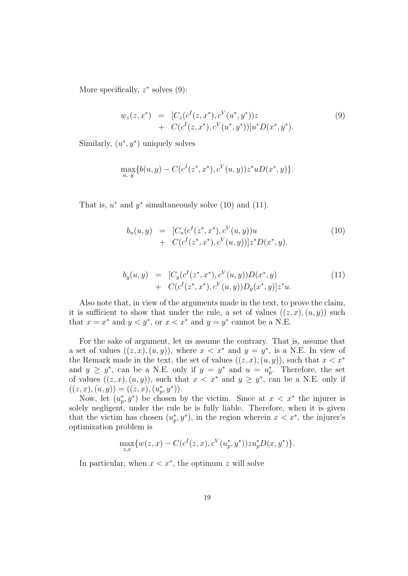More specifically,  $z^*$  solves  $(9)$ :

$$
w_z(z, x^*) = [C_z(c^I(z, x^*), c^V(u^*, y^*))z + C(c^I(z, x^*), c^V(u^*, y^*))]u^*D(x^*, y^*).
$$
\n(9)

Similarly,  $(u^*, y^*)$  uniquely solves

$$
\max_{u, y} \{b(u, y) - C(c^{I}(z^*, x^*), c^{V}(u, y))z^*uD(x^*, y)\}.
$$

That is,  $u^*$  and  $y^*$  simultaneously solve (10) and (11).

$$
b_u(u, y) = [C_u(c^I(z^*, x^*), c^V(u, y))u + C(c^I(z^*, x^*), c^V(u, y))]z^*D(x^*, y).
$$
\n(10)

$$
b_y(u, y) = [C_y(c^I(z^*, x^*), c^V(u, y))D(x^*, y) + C(c^I(z^*, x^*), c^V(u, y))D_y(x^*, y)]z^*u.
$$
\n(11)

Also note that, in view of the arguments made in the text, to prove the claim, it is sufficient to show that under the rule, a set of values  $((z, x), (u, y))$  such that  $x = x^*$  and  $y < y^*$ , or  $x < x^*$  and  $y = y^*$  cannot be a N.E.

For the sake of argument, let us assume the contrary. That is, assume that a set of values  $((z, x), (u, y))$ , where  $x < x^*$  and  $y = y^*$ , is a N.E. In view of the Remark made in the text, the set of values  $((z, x), (u, y))$ , such that  $x < x^*$ and  $y \geq y^*$ , can be a N.E. only if  $y = y^*$  and  $u = u_p^*$ . Therefore, the set of values  $((z, x), (u, y))$ , such that  $x < x^*$  and  $y \geq y^*$ , can be a N.E. only if  $((z, x), (u, y)) = ((z, x), (u_p^*, y^*)).$ 

Now, let  $(u_p^*, y^*)$  be chosen by the victim. Since at  $x < x^*$  the injurer is solely negligent, under the rule he is fully liable. Therefore, when it is given that the victim has chosen  $(u_p^*, y^*)$ , in the region wherein  $x < x^*$ , the injurer's optimization problem is

$$
\max_{z,x} \{ w(z,x) - C(c^I(z,x), c^V(u_p^*, y^*)) z u_p^* D(x, y^*) \}.
$$

In particular, when  $x < x^*$ , the optimum z will solve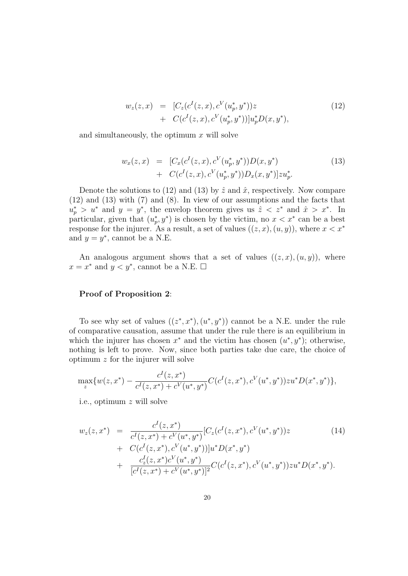$$
w_z(z, x) = [C_z(c^I(z, x), c^V(u_p^*, y^*))z + C(c^I(z, x), c^V(u_p^*, y^*))]u_p^*D(x, y^*),
$$
\n(12)

and simultaneously, the optimum  $x$  will solve

$$
w_x(z, x) = [C_x(c^I(z, x), c^V(u_p^*, y^*))D(x, y^*)+ C(c^I(z, x), c^V(u_p^*, y^*))D_x(x, y^*)]zu_p^*.
$$
\n(13)

Denote the solutions to (12) and (13) by  $\hat{z}$  and  $\hat{x}$ , respectively. Now compare (12) and (13) with (7) and (8). In view of our assumptions and the facts that  $u_p^* > u^*$  and  $y = y^*$ , the envelop theorem gives us  $\hat{z} < z^*$  and  $\hat{x} > x^*$ . In particular, given that  $(u_p^*, y^*)$  is chosen by the victim, no  $x < x^*$  can be a best response for the injurer. As a result, a set of values  $((z, x), (u, y))$ , where  $x < x^*$ and  $y = y^*$ , cannot be a N.E.

An analogous argument shows that a set of values  $((z, x), (u, y))$ , where  $x = x^*$  and  $y < y^*$ , cannot be a N.E.  $\Box$ 

#### Proof of Proposition 2:

To see why set of values  $((z^*,x^*),(u^*,y^*))$  cannot be a N.E. under the rule of comparative causation, assume that under the rule there is an equilibrium in which the injurer has chosen  $x^*$  and the victim has chosen  $(u^*, y^*)$ ; otherwise, nothing is left to prove. Now, since both parties take due care, the choice of optimum z for the injurer will solve

$$
\max_{z} \{ w(z, x^*) - \frac{c^I(z, x^*)}{c^I(z, x^*) + c^V(u^*, y^*)} C(c^I(z, x^*), c^V(u^*, y^*)) z u^* D(x^*, y^*) \},\
$$

i.e., optimum z will solve

$$
w_z(z, x^*) = \frac{c^I(z, x^*)}{c^I(z, x^*) + c^V(u^*, y^*)} [C_z(c^I(z, x^*), c^V(u^*, y^*))z
$$
  
+  $C(c^I(z, x^*), c^V(u^*, y^*))]u^*D(x^*, y^*)$   
+  $\frac{c_z^I(z, x^*)c^V(u^*, y^*)}{[c^I(z, x^*) + c^V(u^*, y^*)]^2} C(c^I(z, x^*), c^V(u^*, y^*))zu^*D(x^*, y^*).$  (14)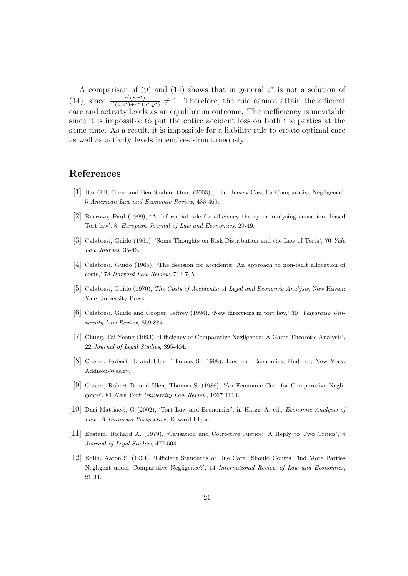A comparison of (9) and (14) shows that in general  $z^*$  is not a solution of  $(14)$ , since  $\frac{c^I(z,x^*)}{c^I(z,x^*)+c^V(z)}$  $\frac{c^2(z,x^*)}{c^I(z,x^*)+c^V(u^*,y^*)} \neq 1$ . Therefore, the rule cannot attain the efficient care and activity levels as an equilibrium outcome. The inefficiency is inevitable since it is impossible to put the entire accident loss on both the parties at the same time. As a result, it is impossible for a liability rule to create optimal care as well as activity levels incentives simultaneously.

### References

- [1] Bar-Gill, Oren, and Ben-Shahar, Omri (2003), 'The Uneasy Case for Comparative Negligence', 5 American Law and Economic Review, 433-469.
- [2] Burrows, Paul (1999), 'A deferential role for efficiency theory in analysing causation- based Tort law', 8, European Journal of Law and Economics, 29-49.
- [3] Calabresi, Guido (1961), 'Some Thoughts on Risk Distribution and the Law of Torts', 70 Yale Law Journal, 35-46.
- [4] Calabresi, Guido (1965), 'The decision for accidents: An approach to non-fault allocation of costs,' 78 Harvard Law Review, 713-745.
- [5] Calabresi, Guido (1970), *The Costs of Accidents: A Legal and Economic Analysis*, New Haven: Yale University Press.
- $|6|$  Calabresi, Guido and Cooper, Jeffrey (1996), 'New directions in tort law,' 30 Valparaiso University Law Review, 859-884.
- [7] Chung, Tai-Yeong (1993), 'Efficiency of Comparative Negligence: A Game Theoretic Analysis', 22 Journal of Legal Studies, 395-404.
- [8] Cooter, Robert D. and Ulen, Thomas S. (1998), Law and Economics, IInd ed., New York, Addison-Wesley.
- [9] Cooter, Robert D. and Ulen, Thomas S. (1986), 'An Economic Case for Comparative Negligence', 81 New York University Law Review, 1067-1110.
- [10] Dari Mattiacci, G (2002), 'Tort Law and Economics', in Hatzis A. ed., Economic Analysis of Law: A European Perspective, Edward Elgar.
- [11] Epstein, Richard A. (1979), 'Causation and Corrective Justice: A Reply to Two Critics', 8 Journal of Legal Studies, 477-504.
- [12] Edlin, Aaron S. (1994), 'Efficient Standards of Due Care: Should Courts Find More Parties Negligent under Comparative Negligence?', 14 International Review of Law and Economics, 21-34.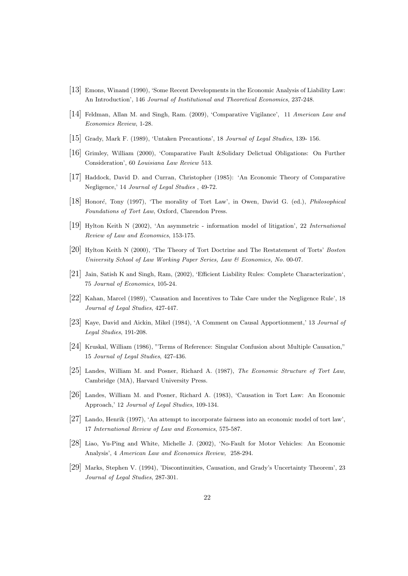- [13] Emons, Winand (1990), 'Some Recent Developments in the Economic Analysis of Liability Law: An Introduction', 146 Journal of Institutional and Theoretical Economics, 237-248.
- [14] Feldman, Allan M. and Singh, Ram. (2009), 'Comparative Vigilance', 11 American Law and Economics Review, 1-28.
- [15] Grady, Mark F. (1989), 'Untaken Precautions', 18 Journal of Legal Studies, 139- 156.
- [16] Grimley, William (2000), 'Comparative Fault &Solidary Delictual Obligations: On Further Consideration', 60 Louisiana Law Review 513.
- [17] Haddock, David D. and Curran, Christopher (1985): 'An Economic Theory of Comparative Negligence,' 14 Journal of Legal Studies , 49-72.
- [18] Honoré, Tony (1997), 'The morality of Tort Law', in Owen, David G. (ed.), *Philosophical* Foundations of Tort Law, Oxford, Clarendon Press.
- [19] Hylton Keith N (2002), 'An asymmetric information model of litigation', 22 International Review of Law and Economics, 153-175.
- [20] Hylton Keith N (2000), 'The Theory of Tort Doctrine and The Restatement of Torts' Boston University School of Law Working Paper Series, Law & Economics, No. 00-07.
- [21] Jain, Satish K and Singh, Ram, (2002), 'Efficient Liability Rules: Complete Characterization', 75 Journal of Economics, 105-24.
- [22] Kahan, Marcel (1989), 'Causation and Incentives to Take Care under the Negligence Rule', 18 Journal of Legal Studies, 427-447.
- [23] Kaye, David and Aickin, Mikel (1984), 'A Comment on Causal Apportionment,' 13 Journal of Legal Studies, 191-208.
- [24] Kruskal, William (1986), "Terms of Reference: Singular Confusion about Multiple Causation," 15 Journal of Legal Studies, 427-436.
- [25] Landes, William M. and Posner, Richard A. (1987), The Economic Structure of Tort Law, Cambridge (MA), Harvard University Press.
- [26] Landes, William M. and Posner, Richard A. (1983), 'Causation in Tort Law: An Economic Approach,' 12 Journal of Legal Studies, 109-134.
- [27] Lando, Henrik (1997), 'An attempt to incorporate fairness into an economic model of tort law', 17 International Review of Law and Economics, 575-587.
- [28] Liao, Yu-Ping and White, Michelle J. (2002), 'No-Fault for Motor Vehicles: An Economic Analysis', 4 American Law and Economics Review, 258-294.
- [29] Marks, Stephen V. (1994), 'Discontinuities, Causation, and Grady's Uncertainty Theorem', 23 Journal of Legal Studies, 287-301.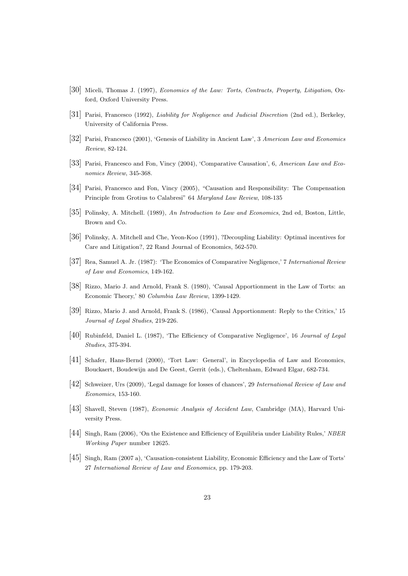- [30] Miceli, Thomas J. (1997), Economics of the Law: Torts, Contracts, Property, Litigation, Oxford, Oxford University Press.
- [31] Parisi, Francesco (1992), Liability for Negligence and Judicial Discretion (2nd ed.), Berkeley, University of California Press.
- [32] Parisi, Francesco (2001), 'Genesis of Liability in Ancient Law', 3 American Law and Economics Review, 82-124.
- [33] Parisi, Francesco and Fon, Vincy (2004), 'Comparative Causation', 6, American Law and Economics Review, 345-368.
- [34] Parisi, Francesco and Fon, Vincy (2005), "Causation and Responsibility: The Compensation Principle from Grotius to Calabresi" 64 Maryland Law Review, 108-135
- [35] Polinsky, A. Mitchell. (1989), An Introduction to Law and Economics, 2nd ed, Boston, Little, Brown and Co.
- [36] Polinsky, A. Mitchell and Che, Yeon-Koo (1991), ?Decoupling Liability: Optimal incentives for Care and Litigation?, 22 Rand Journal of Economics, 562-570.
- [37] Rea, Samuel A. Jr. (1987): 'The Economics of Comparative Negligence,' 7 International Review of Law and Economics, 149-162.
- [38] Rizzo, Mario J. and Arnold, Frank S. (1980), 'Causal Apportionment in the Law of Torts: an Economic Theory,' 80 Columbia Law Review, 1399-1429.
- [39] Rizzo, Mario J. and Arnold, Frank S. (1986), 'Causal Apportionment: Reply to the Critics,' 15 Journal of Legal Studies, 219-226.
- [40] Rubinfeld, Daniel L. (1987), 'The Efficiency of Comparative Negligence', 16 Journal of Legal Studies, 375-394.
- [41] Schafer, Hans-Bernd (2000), 'Tort Law: General', in Encyclopedia of Law and Economics, Bouckaert, Boudewijn and De Geest, Gerrit (eds.), Cheltenham, Edward Elgar, 682-734.
- [42] Schweizer, Urs (2009), 'Legal damage for losses of chances', 29 International Review of Law and Economics, 153-160.
- [43] Shavell, Steven (1987), Economic Analysis of Accident Law, Cambridge (MA), Harvard University Press.
- [44] Singh, Ram (2006), 'On the Existence and Efficiency of Equilibria under Liability Rules,' NBER Working Paper number 12625.
- [45] Singh, Ram (2007 a), 'Causation-consistent Liability, Economic Efficiency and the Law of Torts' 27 International Review of Law and Economics, pp. 179-203.